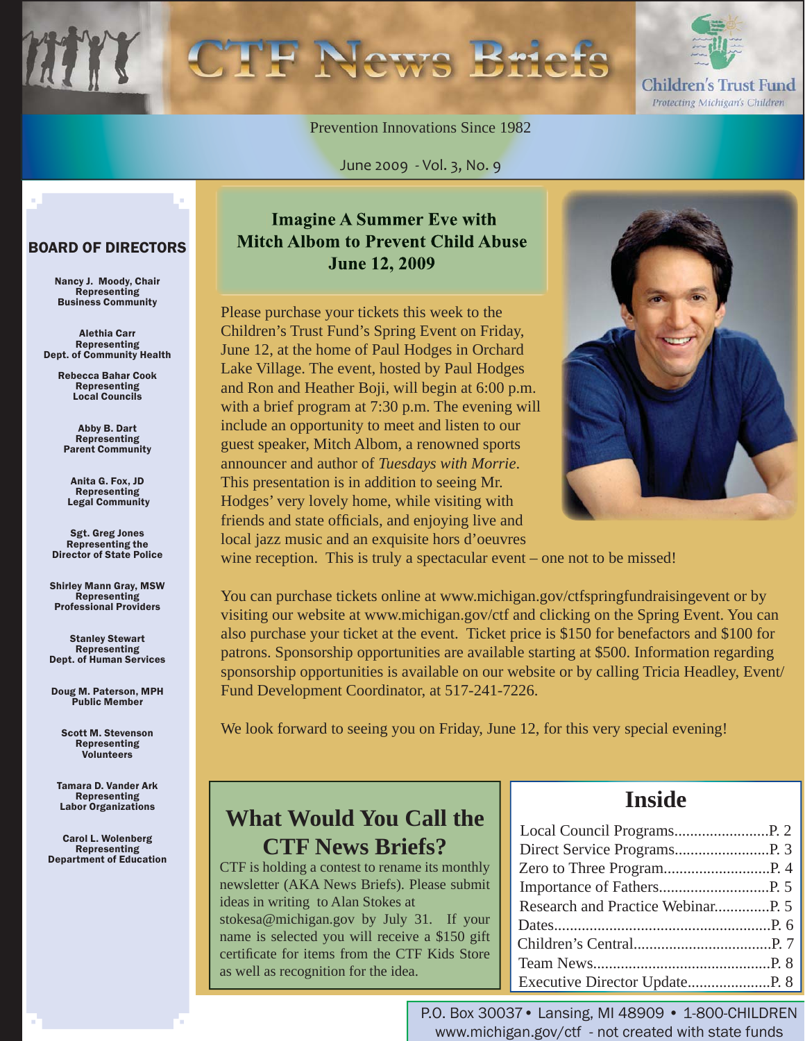Prevention Innovations Since 1982

June 2009 - Vol. 3, No. 9

#### BOARD OF DIRECTORS

Nancy J. Moody, Chair Representing Business Community

Alethia Carr Representing Dept. of Community Health

> Rebecca Bahar Cook Representing Local Councils

Abby B. Dart Representing Parent Community

Anita G. Fox, JD Representing Legal Community

Sgt. Greg Jones Representing the Director of State Police

Shirley Mann Gray, MSW Representing Professional Providers

Stanley Stewart **Representing** Dept. of Human Services

Doug M. Paterson, MPH Public Member

Scott M. Stevenson Representing Volunteers

Tamara D. Vander Ark **Representing** Labor Organizations

Carol L. Wolenberg Representing Department of Education

### **Imagine A Summer Eve with Mitch Albom to Prevent Child Abuse June 12, 2009**

Please purchase your tickets this week to the Children's Trust Fund's Spring Event on Friday, June 12, at the home of Paul Hodges in Orchard Lake Village. The event, hosted by Paul Hodges and Ron and Heather Boji, will begin at 6:00 p.m. with a brief program at 7:30 p.m. The evening will include an opportunity to meet and listen to our guest speaker, Mitch Albom, a renowned sports announcer and author of *Tuesdays with Morrie*. This presentation is in addition to seeing Mr. Hodges' very lovely home, while visiting with friends and state officials, and enjoying live and local jazz music and an exquisite hors d'oeuvres



Children's Trust Fund Protecting Michigan's Children

wine reception. This is truly a spectacular event – one not to be missed!

You can purchase tickets online at www.michigan.gov/ctfspringfundraising event or by visiting our website at www.michigan.gov/ctf and clicking on the Spring Event. You can also purchase your ticket at the event. Ticket price is \$150 for benefactors and \$100 for patrons. Sponsorship opportunities are available starting at \$500. Information regarding sponsorship opportunities is available on our website or by calling Tricia Headley, Event/ Fund Development Coordinator, at 517-241-7226.

We look forward to seeing you on Friday, June 12, for this very special evening!

# **What Would You Call the CTF News Briefs?**

CTF is holding a contest to rename its monthly newsletter (AKA News Briefs). Please submit ideas in writing to Alan Stokes at stokesa@michigan.gov by July 31. If your name is selected you will receive a \$150 gift certificate for items from the CTF Kids Store as well as recognition for the idea.

# **Inside**

P.O. Box 30037• Lansing, MI 48909 • 1-800-CHILDREN www.michigan.gov/ctf - not created with state funds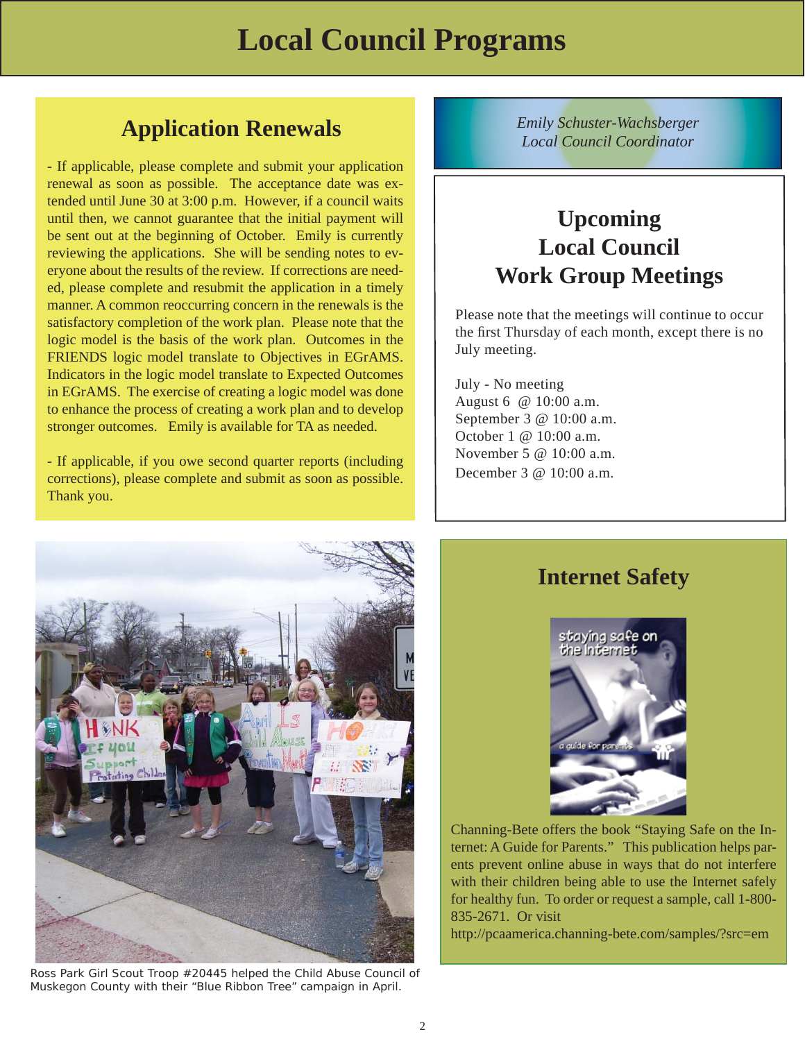# **Local Council Programs**

# **Application Renewals**

- If applicable, please complete and submit your application renewal as soon as possible. The acceptance date was extended until June 30 at 3:00 p.m. However, if a council waits until then, we cannot guarantee that the initial payment will be sent out at the beginning of October. Emily is currently reviewing the applications. She will be sending notes to everyone about the results of the review. If corrections are needed, please complete and resubmit the application in a timely manner. A common reoccurring concern in the renewals is the satisfactory completion of the work plan. Please note that the logic model is the basis of the work plan. Outcomes in the FRIENDS logic model translate to Objectives in EGrAMS. Indicators in the logic model translate to Expected Outcomes in EGrAMS. The exercise of creating a logic model was done to enhance the process of creating a work plan and to develop stronger outcomes. Emily is available for TA as needed.

- If applicable, if you owe second quarter reports (including corrections), please complete and submit as soon as possible. Thank you.



Ross Park Girl Scout Troop #20445 helped the Child Abuse Council of Muskegon County with their "Blue Ribbon Tree" campaign in April.

*Emily Schuster-Wachsberger Local Council Coordinator*

# **Upcoming Local Council Work Group Meetings**

Please note that the meetings will continue to occur the first Thursday of each month, except there is no July meeting.

July - No meeting August 6 @ 10:00 a.m. September 3 @ 10:00 a.m. October 1 @ 10:00 a.m. November 5 @ 10:00 a.m. December 3 @ 10:00 a.m.

### **Internet Safety**



Channing-Bete offers the book "Staying Safe on the Internet: A Guide for Parents." This publication helps parents prevent online abuse in ways that do not interfere with their children being able to use the Internet safely for healthy fun. To order or request a sample, call 1-800- 835-2671. Or visit

http://pcaamerica.channing-bete.com/samples/?src=em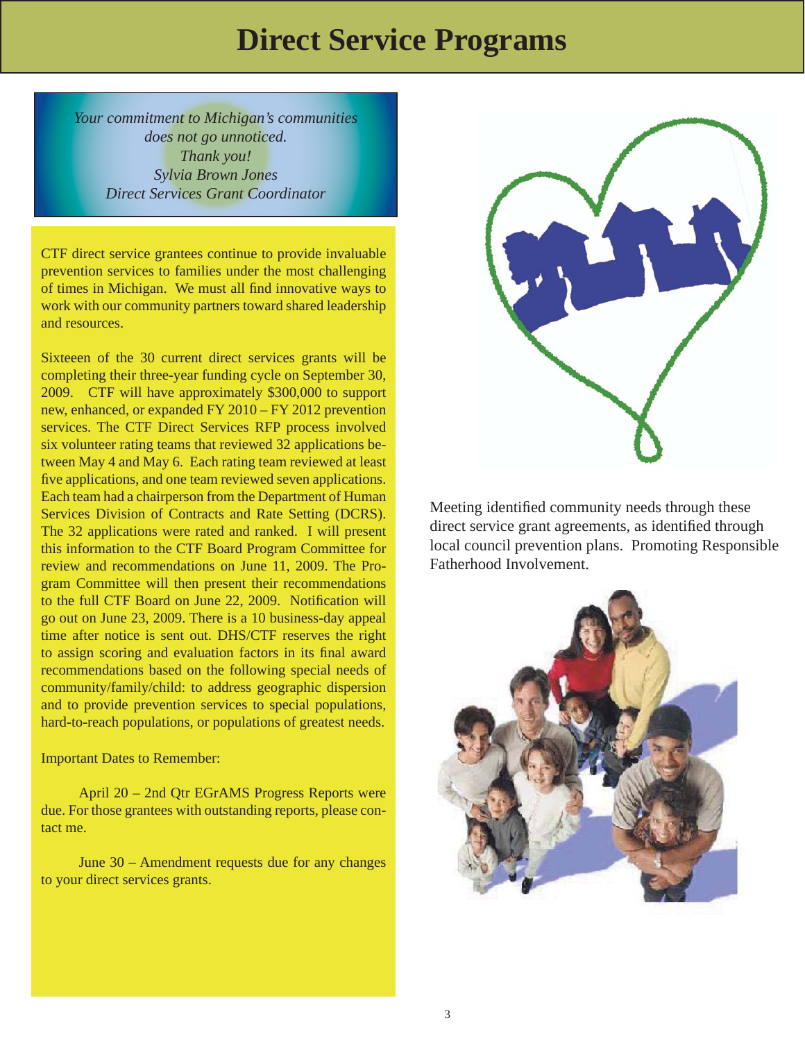# **Direct Service Programs**

*Your commitment to Michigan's communities does not go unnoticed. Thank you! Sylvia Brown Jones Direct Services Grant Coordinator*

CTF direct service grantees continue to provide invaluable prevention services to families under the most challenging of times in Michigan. We must all find innovative ways to work with our community partners toward shared leadership and resources.

Sixteeen of the 30 current direct services grants will be completing their three-year funding cycle on September 30, 2009. CTF will have approximately \$300,000 to support new, enhanced, or expanded FY 2010 – FY 2012 prevention services. The CTF Direct Services RFP process involved six volunteer rating teams that reviewed 32 applications between May 4 and May 6. Each rating team reviewed at least five applications, and one team reviewed seven applications. Each team had a chairperson from the Department of Human Services Division of Contracts and Rate Setting (DCRS). The 32 applications were rated and ranked. I will present this information to the CTF Board Program Committee for review and recommendations on June 11, 2009. The Program Committee will then present their recommendations to the full CTF Board on June 22, 2009. Notification will go out on June 23, 2009. There is a 10 business-day appeal time after notice is sent out. DHS/CTF reserves the right to assign scoring and evaluation factors in its final award recommendations based on the following special needs of community/family/child: to address geographic dispersion and to provide prevention services to special populations, hard-to-reach populations, or populations of greatest needs.

Important Dates to Remember:

 April 20 – 2nd Qtr EGrAMS Progress Reports were due. For those grantees with outstanding reports, please contact me.

 June 30 – Amendment requests due for any changes to your direct services grants.



Meeting identified community needs through these direct service grant agreements, as identified through local council prevention plans. Promoting Responsible Fatherhood Involvement.

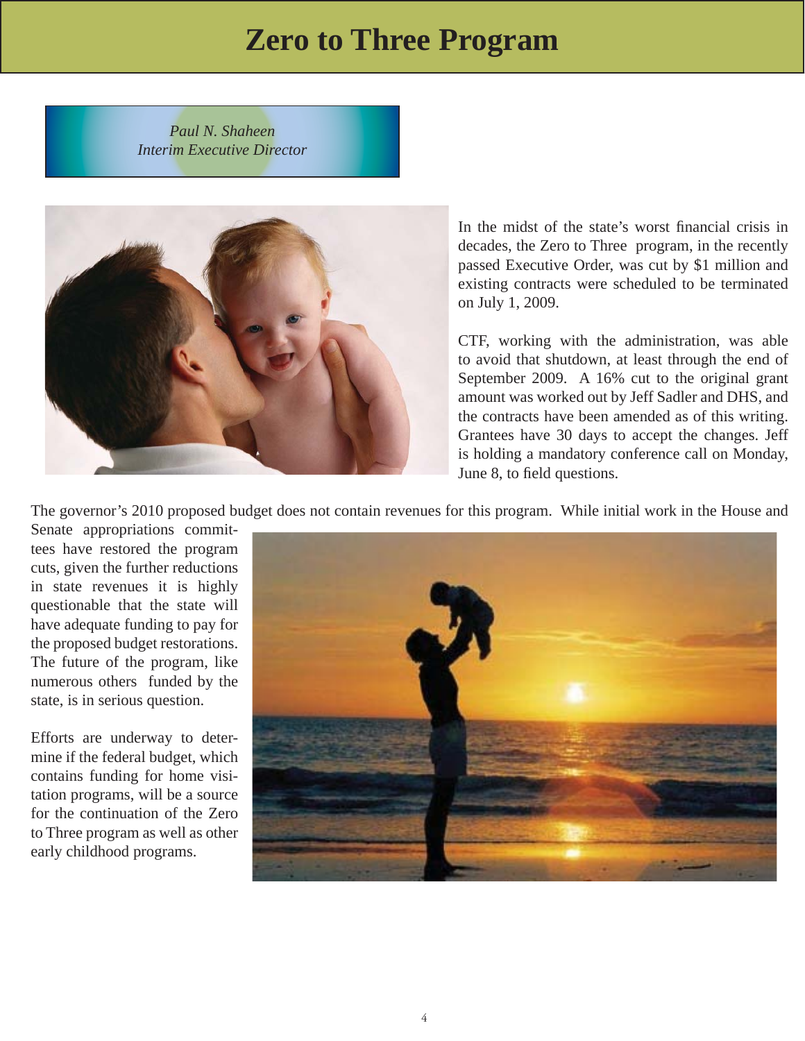# **Zero to Three Program**

*Paul N. Shaheen Interim Executive Director*



In the midst of the state's worst financial crisis in decades, the Zero to Three program, in the recently passed Executive Order, was cut by \$1 million and existing contracts were scheduled to be terminated on July 1, 2009.

CTF, working with the administration, was able to avoid that shutdown, at least through the end of September 2009. A 16% cut to the original grant amount was worked out by Jeff Sadler and DHS, and the contracts have been amended as of this writing. Grantees have 30 days to accept the changes. Jeff is holding a mandatory conference call on Monday, June 8, to field questions.

The governor's 2010 proposed budget does not contain revenues for this program. While initial work in the House and

Senate appropriations committees have restored the program cuts, given the further reductions in state revenues it is highly questionable that the state will have adequate funding to pay for the proposed budget restorations. The future of the program, like numerous others funded by the state, is in serious question.

Efforts are underway to determine if the federal budget, which contains funding for home visitation programs, will be a source for the continuation of the Zero to Three program as well as other early childhood programs.

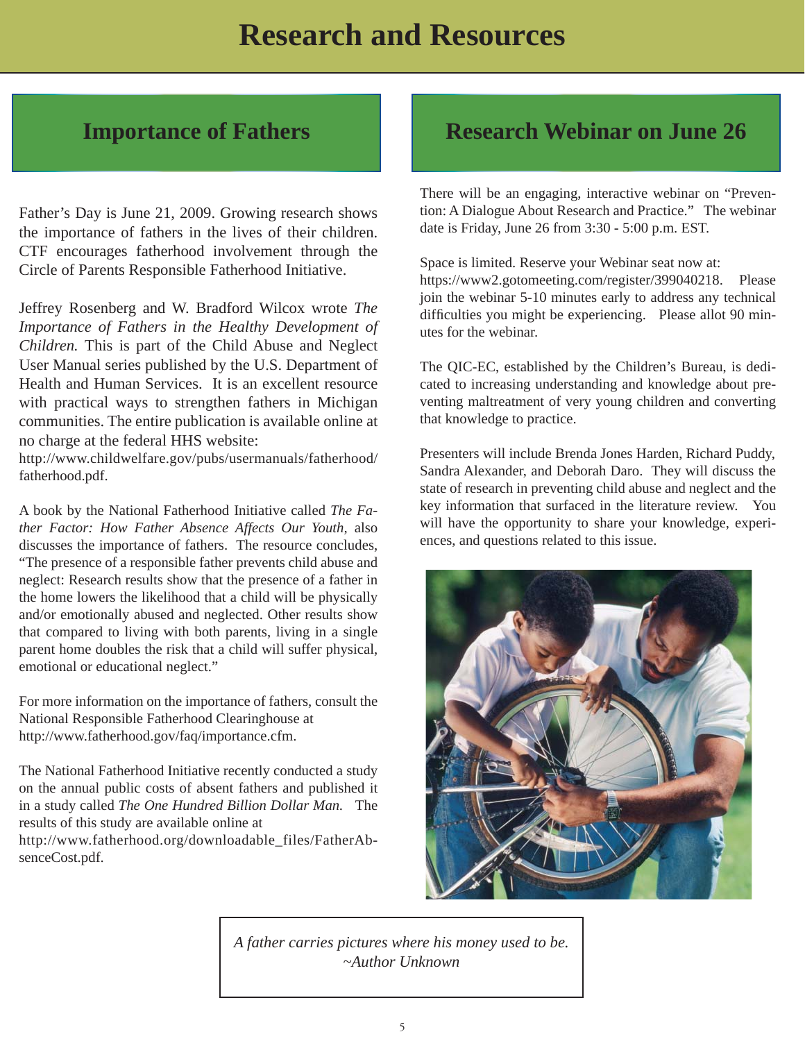### **Importance of Fathers**

Father's Day is June 21, 2009. Growing research shows the importance of fathers in the lives of their children. CTF encourages fatherhood involvement through the Circle of Parents Responsible Fatherhood Initiative.

Jeffrey Rosenberg and W. Bradford Wilcox wrote *The Importance of Fathers in the Healthy Development of Children.* This is part of the Child Abuse and Neglect User Manual series published by the U.S. Department of Health and Human Services. It is an excellent resource with practical ways to strengthen fathers in Michigan communities. The entire publication is available online at no charge at the federal HHS website:

http://www.childwelfare.gov/pubs/usermanuals/fatherhood/ fatherhood.pdf.

A book by the National Fatherhood Initiative called *The Father Factor: How Father Absence Affects Our Youth,* also discusses the importance of fathers. The resource concludes, "The presence of a responsible father prevents child abuse and neglect: Research results show that the presence of a father in the home lowers the likelihood that a child will be physically and/or emotionally abused and neglected. Other results show that compared to living with both parents, living in a single parent home doubles the risk that a child will suffer physical, emotional or educational neglect."

For more information on the importance of fathers, consult the National Responsible Fatherhood Clearinghouse at http://www.fatherhood.gov/faq/importance.cfm.

The National Fatherhood Initiative recently conducted a study on the annual public costs of absent fathers and published it in a study called *The One Hundred Billion Dollar Man.* The results of this study are available online at http://www.fatherhood.org/downloadable\_files/FatherAbsenceCost.pdf.

# **Research Webinar on June 26**

There will be an engaging, interactive webinar on "Prevention: A Dialogue About Research and Practice." The webinar date is Friday, June 26 from 3:30 - 5:00 p.m. EST.

Space is limited. Reserve your Webinar seat now at: https://www2.gotomeeting.com/register/399040218. Please join the webinar 5-10 minutes early to address any technical difficulties you might be experiencing. Please allot 90 minutes for the webinar.

The QIC-EC, established by the Children's Bureau, is dedicated to increasing understanding and knowledge about preventing maltreatment of very young children and converting that knowledge to practice.

Presenters will include Brenda Jones Harden, Richard Puddy, Sandra Alexander, and Deborah Daro. They will discuss the state of research in preventing child abuse and neglect and the key information that surfaced in the literature review. You will have the opportunity to share your knowledge, experiences, and questions related to this issue.



*A father carries pictures where his money used to be. ~Author Unknown*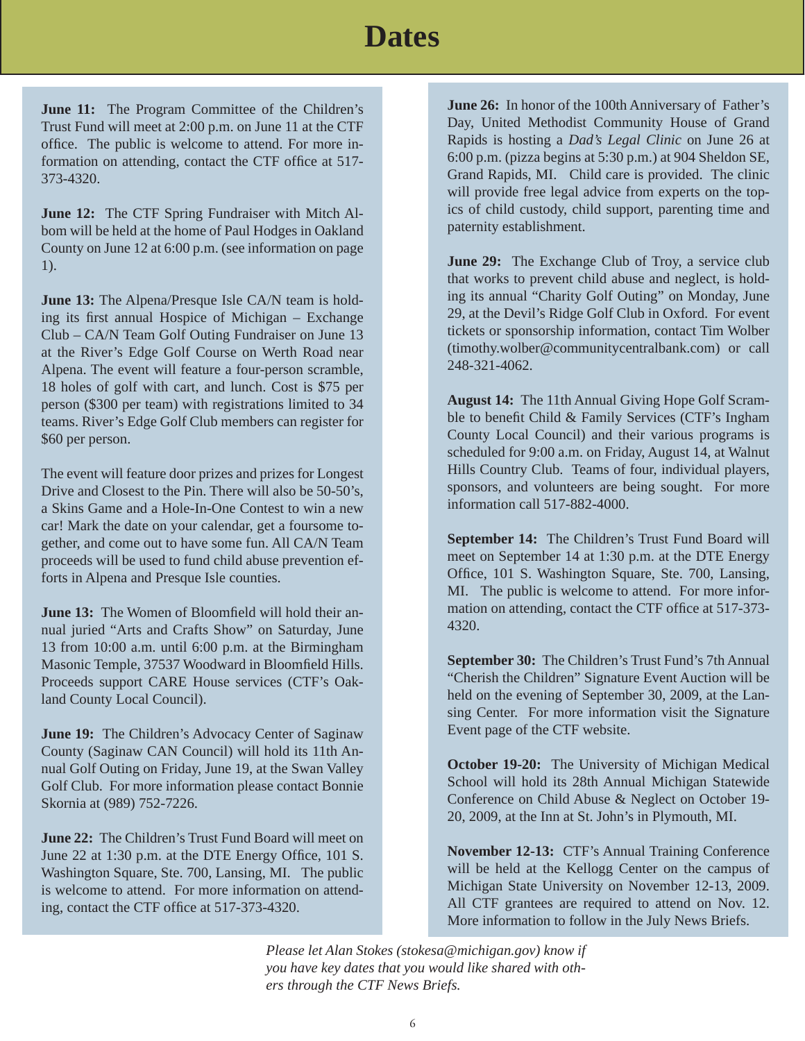# **Dates**

**June 11:** The Program Committee of the Children's Trust Fund will meet at 2:00 p.m. on June 11 at the CTF office. The public is welcome to attend. For more information on attending, contact the CTF office at 517-373-4320.

**June 12:** The CTF Spring Fundraiser with Mitch Albom will be held at the home of Paul Hodges in Oakland County on June 12 at 6:00 p.m. (see information on page 1).

**June 13:** The Alpena/Presque Isle CA/N team is holding its first annual Hospice of Michigan – Exchange Club – CA/N Team Golf Outing Fundraiser on June 13 at the River's Edge Golf Course on Werth Road near Alpena. The event will feature a four-person scramble, 18 holes of golf with cart, and lunch. Cost is \$75 per person (\$300 per team) with registrations limited to 34 teams. River's Edge Golf Club members can register for \$60 per person.

The event will feature door prizes and prizes for Longest Drive and Closest to the Pin. There will also be 50-50's, a Skins Game and a Hole-In-One Contest to win a new car! Mark the date on your calendar, get a foursome together, and come out to have some fun. All CA/N Team proceeds will be used to fund child abuse prevention efforts in Alpena and Presque Isle counties.

**June 13:** The Women of Bloomfield will hold their annual juried "Arts and Crafts Show" on Saturday, June 13 from 10:00 a.m. until 6:00 p.m. at the Birmingham Masonic Temple, 37537 Woodward in Bloomfield Hills. Proceeds support CARE House services (CTF's Oakland County Local Council).

**June 19:** The Children's Advocacy Center of Saginaw County (Saginaw CAN Council) will hold its 11th Annual Golf Outing on Friday, June 19, at the Swan Valley Golf Club. For more information please contact Bonnie Skornia at (989) 752-7226.

**June 22:** The Children's Trust Fund Board will meet on June 22 at 1:30 p.m. at the DTE Energy Office,  $101 S$ . Washington Square, Ste. 700, Lansing, MI. The public is welcome to attend. For more information on attending, contact the CTF office at 517-373-4320.

**June 26:** In honor of the 100th Anniversary of Father's Day, United Methodist Community House of Grand Rapids is hosting a *Dad's Legal Clinic* on June 26 at 6:00 p.m. (pizza begins at 5:30 p.m.) at 904 Sheldon SE, Grand Rapids, MI. Child care is provided. The clinic will provide free legal advice from experts on the topics of child custody, child support, parenting time and paternity establishment.

**June 29:** The Exchange Club of Troy, a service club that works to prevent child abuse and neglect, is holding its annual "Charity Golf Outing" on Monday, June 29, at the Devil's Ridge Golf Club in Oxford. For event tickets or sponsorship information, contact Tim Wolber (timothy.wolber@communitycentralbank.com) or call 248-321-4062.

**August 14:** The 11th Annual Giving Hope Golf Scramble to benefit Child & Family Services (CTF's Ingham County Local Council) and their various programs is scheduled for 9:00 a.m. on Friday, August 14, at Walnut Hills Country Club. Teams of four, individual players, sponsors, and volunteers are being sought. For more information call 517-882-4000.

**September 14:** The Children's Trust Fund Board will meet on September 14 at 1:30 p.m. at the DTE Energy Office, 101 S. Washington Square, Ste. 700, Lansing, MI. The public is welcome to attend. For more information on attending, contact the CTF office at 517-373-4320.

**September 30:** The Children's Trust Fund's 7th Annual "Cherish the Children" Signature Event Auction will be held on the evening of September 30, 2009, at the Lansing Center. For more information visit the Signature Event page of the CTF website.

**October 19-20:** The University of Michigan Medical School will hold its 28th Annual Michigan Statewide Conference on Child Abuse & Neglect on October 19- 20, 2009, at the Inn at St. John's in Plymouth, MI.

**November 12-13:** CTF's Annual Training Conference will be held at the Kellogg Center on the campus of Michigan State University on November 12-13, 2009. All CTF grantees are required to attend on Nov. 12. More information to follow in the July News Briefs.

*Please let Alan Stokes (stokesa@michigan.gov) know if you have key dates that you would like shared with others through the CTF News Briefs.*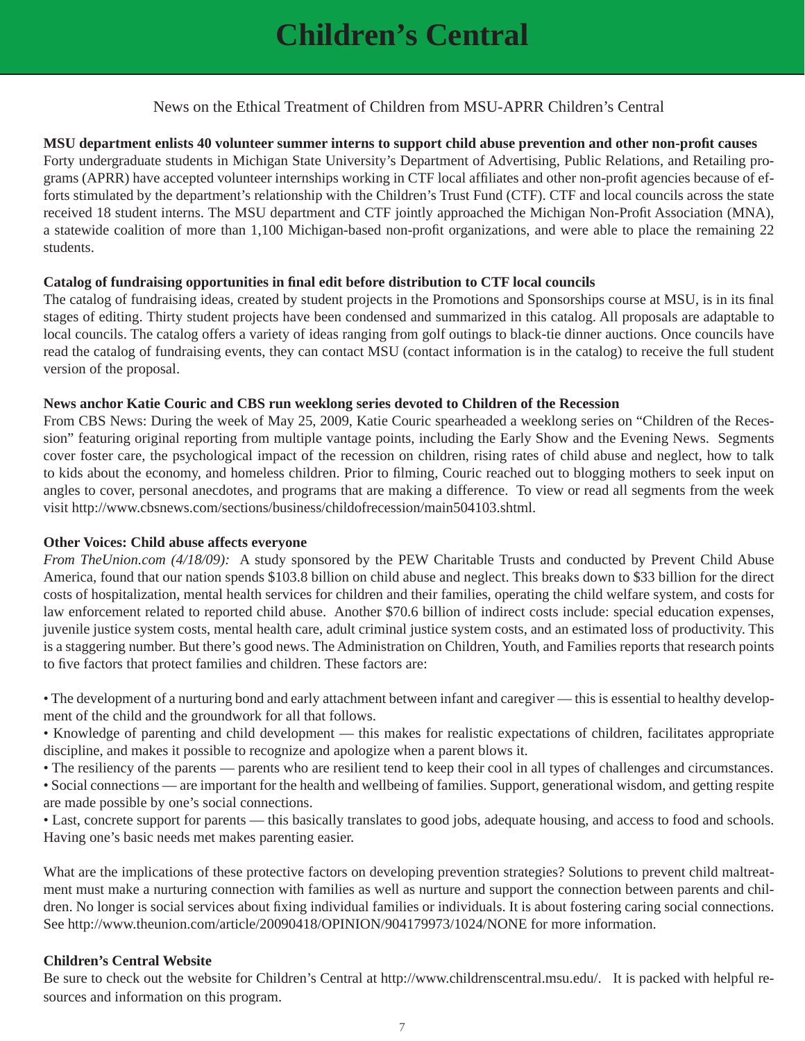#### News on the Ethical Treatment of Children from MSU-APRR Children's Central

#### **MSU department enlists 40 volunteer summer interns to support child abuse prevention and other non-profi t causes**

Forty undergraduate students in Michigan State University's Department of Advertising, Public Relations, and Retailing programs (APRR) have accepted volunteer internships working in CTF local affiliates and other non-profit agencies because of efforts stimulated by the department's relationship with the Children's Trust Fund (CTF). CTF and local councils across the state received 18 student interns. The MSU department and CTF jointly approached the Michigan Non-Profit Association (MNA), a statewide coalition of more than 1,100 Michigan-based non-profit organizations, and were able to place the remaining 22 students.

#### **Catalog of fundraising opportunities in fi nal edit before distribution to CTF local councils**

The catalog of fundraising ideas, created by student projects in the Promotions and Sponsorships course at MSU, is in its final stages of editing. Thirty student projects have been condensed and summarized in this catalog. All proposals are adaptable to local councils. The catalog offers a variety of ideas ranging from golf outings to black-tie dinner auctions. Once councils have read the catalog of fundraising events, they can contact MSU (contact information is in the catalog) to receive the full student version of the proposal.

#### **News anchor Katie Couric and CBS run weeklong series devoted to Children of the Recession**

From CBS News: During the week of May 25, 2009, Katie Couric spearheaded a weeklong series on "Children of the Recession" featuring original reporting from multiple vantage points, including the Early Show and the Evening News. Segments cover foster care, the psychological impact of the recession on children, rising rates of child abuse and neglect, how to talk to kids about the economy, and homeless children. Prior to filming, Couric reached out to blogging mothers to seek input on angles to cover, personal anecdotes, and programs that are making a difference. To view or read all segments from the week visit http://www.cbsnews.com/sections/business/childofrecession/main504103.shtml.

#### **Other Voices: Child abuse affects everyone**

*From TheUnion.com (4/18/09):* A study sponsored by the PEW Charitable Trusts and conducted by Prevent Child Abuse America, found that our nation spends \$103.8 billion on child abuse and neglect. This breaks down to \$33 billion for the direct costs of hospitalization, mental health services for children and their families, operating the child welfare system, and costs for law enforcement related to reported child abuse. Another \$70.6 billion of indirect costs include: special education expenses, juvenile justice system costs, mental health care, adult criminal justice system costs, and an estimated loss of productivity. This is a staggering number. But there's good news. The Administration on Children, Youth, and Families reports that research points to five factors that protect families and children. These factors are:

• The development of a nurturing bond and early attachment between infant and caregiver — this is essential to healthy development of the child and the groundwork for all that follows.

• Knowledge of parenting and child development — this makes for realistic expectations of children, facilitates appropriate discipline, and makes it possible to recognize and apologize when a parent blows it.

• The resiliency of the parents — parents who are resilient tend to keep their cool in all types of challenges and circumstances.

• Social connections — are important for the health and wellbeing of families. Support, generational wisdom, and getting respite are made possible by one's social connections.

• Last, concrete support for parents — this basically translates to good jobs, adequate housing, and access to food and schools. Having one's basic needs met makes parenting easier.

What are the implications of these protective factors on developing prevention strategies? Solutions to prevent child maltreatment must make a nurturing connection with families as well as nurture and support the connection between parents and children. No longer is social services about fixing individual families or individuals. It is about fostering caring social connections. See http://www.theunion.com/article/20090418/OPINION/904179973/1024/NONE for more information.

#### **Children's Central Website**

Be sure to check out the website for Children's Central at http://www.childrenscentral.msu.edu/. It is packed with helpful resources and information on this program.